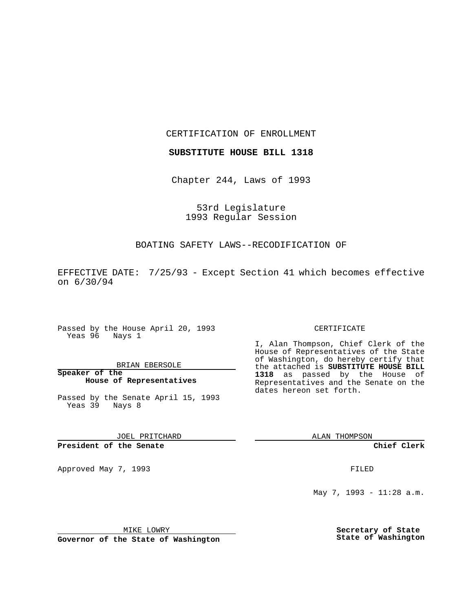CERTIFICATION OF ENROLLMENT

**SUBSTITUTE HOUSE BILL 1318**

Chapter 244, Laws of 1993

53rd Legislature 1993 Regular Session

### BOATING SAFETY LAWS--RECODIFICATION OF

EFFECTIVE DATE: 7/25/93 - Except Section 41 which becomes effective on 6/30/94

Passed by the House April 20, 1993 Yeas 96 Nays 1

#### BRIAN EBERSOLE

**Speaker of the House of Representatives**

Passed by the Senate April 15, 1993 Yeas 39 Nays 8

JOEL PRITCHARD

# **President of the Senate**

Approved May 7, 1993 **FILED** 

#### CERTIFICATE

I, Alan Thompson, Chief Clerk of the House of Representatives of the State of Washington, do hereby certify that the attached is **SUBSTITUTE HOUSE BILL 1318** as passed by the House of Representatives and the Senate on the dates hereon set forth.

ALAN THOMPSON

**Chief Clerk**

May 7, 1993 - 11:28 a.m.

MIKE LOWRY

**Governor of the State of Washington**

**Secretary of State State of Washington**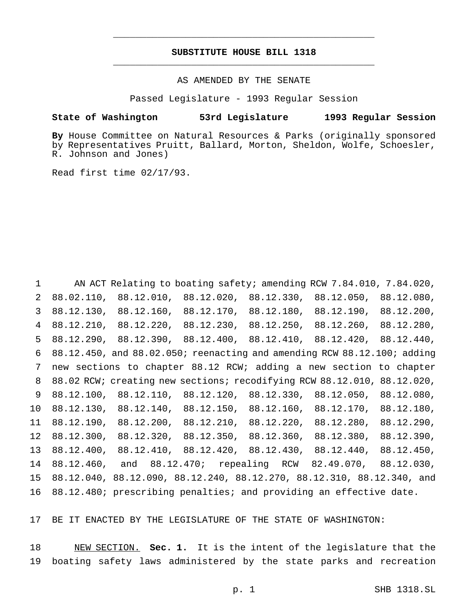# **SUBSTITUTE HOUSE BILL 1318** \_\_\_\_\_\_\_\_\_\_\_\_\_\_\_\_\_\_\_\_\_\_\_\_\_\_\_\_\_\_\_\_\_\_\_\_\_\_\_\_\_\_\_\_\_\_\_

\_\_\_\_\_\_\_\_\_\_\_\_\_\_\_\_\_\_\_\_\_\_\_\_\_\_\_\_\_\_\_\_\_\_\_\_\_\_\_\_\_\_\_\_\_\_\_

### AS AMENDED BY THE SENATE

Passed Legislature - 1993 Regular Session

#### **State of Washington 53rd Legislature 1993 Regular Session**

**By** House Committee on Natural Resources & Parks (originally sponsored by Representatives Pruitt, Ballard, Morton, Sheldon, Wolfe, Schoesler, R. Johnson and Jones)

Read first time 02/17/93.

 AN ACT Relating to boating safety; amending RCW 7.84.010, 7.84.020, 88.02.110, 88.12.010, 88.12.020, 88.12.330, 88.12.050, 88.12.080, 88.12.130, 88.12.160, 88.12.170, 88.12.180, 88.12.190, 88.12.200, 88.12.210, 88.12.220, 88.12.230, 88.12.250, 88.12.260, 88.12.280, 88.12.290, 88.12.390, 88.12.400, 88.12.410, 88.12.420, 88.12.440, 88.12.450, and 88.02.050; reenacting and amending RCW 88.12.100; adding new sections to chapter 88.12 RCW; adding a new section to chapter 88.02 RCW; creating new sections; recodifying RCW 88.12.010, 88.12.020, 88.12.100, 88.12.110, 88.12.120, 88.12.330, 88.12.050, 88.12.080, 88.12.130, 88.12.140, 88.12.150, 88.12.160, 88.12.170, 88.12.180, 88.12.190, 88.12.200, 88.12.210, 88.12.220, 88.12.280, 88.12.290, 88.12.300, 88.12.320, 88.12.350, 88.12.360, 88.12.380, 88.12.390, 88.12.400, 88.12.410, 88.12.420, 88.12.430, 88.12.440, 88.12.450, 88.12.460, and 88.12.470; repealing RCW 82.49.070, 88.12.030, 88.12.040, 88.12.090, 88.12.240, 88.12.270, 88.12.310, 88.12.340, and 88.12.480; prescribing penalties; and providing an effective date.

BE IT ENACTED BY THE LEGISLATURE OF THE STATE OF WASHINGTON:

 NEW SECTION. **Sec. 1.** It is the intent of the legislature that the boating safety laws administered by the state parks and recreation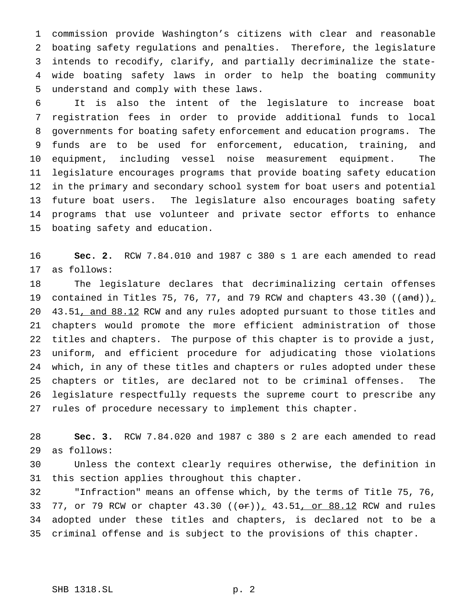commission provide Washington's citizens with clear and reasonable boating safety regulations and penalties. Therefore, the legislature intends to recodify, clarify, and partially decriminalize the state- wide boating safety laws in order to help the boating community understand and comply with these laws.

 It is also the intent of the legislature to increase boat registration fees in order to provide additional funds to local governments for boating safety enforcement and education programs. The funds are to be used for enforcement, education, training, and equipment, including vessel noise measurement equipment. The legislature encourages programs that provide boating safety education in the primary and secondary school system for boat users and potential future boat users. The legislature also encourages boating safety programs that use volunteer and private sector efforts to enhance boating safety and education.

 **Sec. 2.** RCW 7.84.010 and 1987 c 380 s 1 are each amended to read as follows:

 The legislature declares that decriminalizing certain offenses 19 contained in Titles 75, 76, 77, and 79 RCW and chapters  $43.30$  ((and))<sub> $\perp$ </sub> 20 43.51, and 88.12 RCW and any rules adopted pursuant to those titles and chapters would promote the more efficient administration of those titles and chapters. The purpose of this chapter is to provide a just, uniform, and efficient procedure for adjudicating those violations which, in any of these titles and chapters or rules adopted under these chapters or titles, are declared not to be criminal offenses. The legislature respectfully requests the supreme court to prescribe any rules of procedure necessary to implement this chapter.

 **Sec. 3.** RCW 7.84.020 and 1987 c 380 s 2 are each amended to read as follows:

 Unless the context clearly requires otherwise, the definition in this section applies throughout this chapter.

 "Infraction" means an offense which, by the terms of Title 75, 76, 33 77, or 79 RCW or chapter 43.30 (( $\theta$ r))<sub>1</sub> 43.51, or 88.12 RCW and rules adopted under these titles and chapters, is declared not to be a criminal offense and is subject to the provisions of this chapter.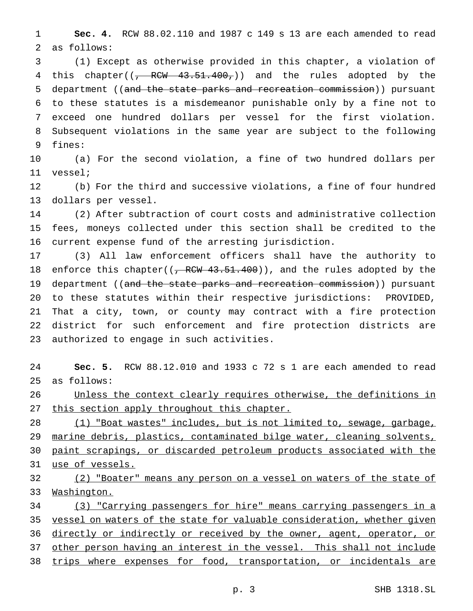**Sec. 4.** RCW 88.02.110 and 1987 c 149 s 13 are each amended to read as follows:

 (1) Except as otherwise provided in this chapter, a violation of 4 this chapter((, RCW 43.51.400,)) and the rules adopted by the department ((and the state parks and recreation commission)) pursuant to these statutes is a misdemeanor punishable only by a fine not to exceed one hundred dollars per vessel for the first violation. Subsequent violations in the same year are subject to the following fines:

 (a) For the second violation, a fine of two hundred dollars per vessel;

 (b) For the third and successive violations, a fine of four hundred dollars per vessel.

 (2) After subtraction of court costs and administrative collection fees, moneys collected under this section shall be credited to the current expense fund of the arresting jurisdiction.

 (3) All law enforcement officers shall have the authority to 18 enforce this chapter(( $\frac{1}{2}$  RCW 43.51.400)), and the rules adopted by the 19 department ((and the state parks and recreation commission)) pursuant to these statutes within their respective jurisdictions: PROVIDED, That a city, town, or county may contract with a fire protection district for such enforcement and fire protection districts are authorized to engage in such activities.

 **Sec. 5.** RCW 88.12.010 and 1933 c 72 s 1 are each amended to read as follows:

 Unless the context clearly requires otherwise, the definitions in 27 this section apply throughout this chapter.

 (1) "Boat wastes" includes, but is not limited to, sewage, garbage, marine debris, plastics, contaminated bilge water, cleaning solvents, paint scrapings, or discarded petroleum products associated with the use of vessels.

32 (2) "Boater" means any person on a vessel on waters of the state of Washington.

 (3) "Carrying passengers for hire" means carrying passengers in a 35 vessel on waters of the state for valuable consideration, whether given 36 directly or indirectly or received by the owner, agent, operator, or other person having an interest in the vessel. This shall not include 38 trips where expenses for food, transportation, or incidentals are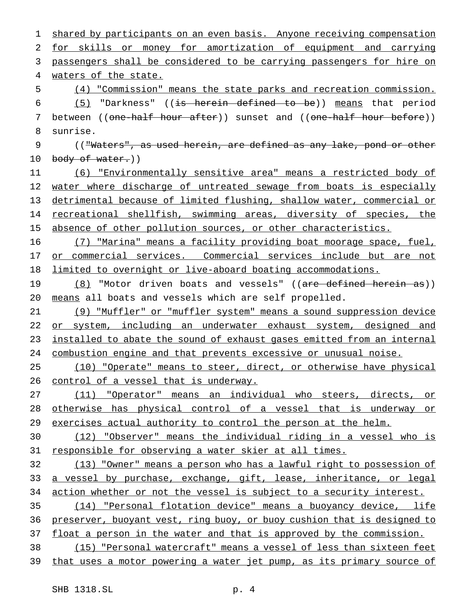1 shared by participants on an even basis. Anyone receiving compensation 2 for skills or money for amortization of equipment and carrying 3 passengers shall be considered to be carrying passengers for hire on 4 waters of the state. 5 (4) "Commission" means the state parks and recreation commission. 6  $(5)$  "Darkness" ((is herein defined to be)) means that period 7 between ((one-half hour after)) sunset and ((one-half hour before)) 8 sunrise. 9 (("Waters", as used herein, are defined as any lake, pond or other 10 body of water.)) 11 (6) "Environmentally sensitive area" means a restricted body of 12 water where discharge of untreated sewage from boats is especially 13 detrimental because of limited flushing, shallow water, commercial or 14 recreational shellfish, swimming areas, diversity of species, the 15 absence of other pollution sources, or other characteristics. 16 (7) "Marina" means a facility providing boat moorage space, fuel, 17 or commercial services. Commercial services include but are not 18 limited to overnight or live-aboard boating accommodations. 19 (8) "Motor driven boats and vessels" ((are defined herein as)) 20 means all boats and vessels which are self propelled. 21 (9) "Muffler" or "muffler system" means a sound suppression device 22 or system, including an underwater exhaust system, designed and 23 installed to abate the sound of exhaust gases emitted from an internal 24 combustion engine and that prevents excessive or unusual noise. 25 (10) "Operate" means to steer, direct, or otherwise have physical 26 control of a vessel that is underway. 27 (11) "Operator" means an individual who steers, directs, or 28 otherwise has physical control of a vessel that is underway or 29 exercises actual authority to control the person at the helm. 30 (12) "Observer" means the individual riding in a vessel who is 31 responsible for observing a water skier at all times. 32 (13) "Owner" means a person who has a lawful right to possession of 33 a vessel by purchase, exchange, gift, lease, inheritance, or legal 34 action whether or not the vessel is subject to a security interest. 35 (14) "Personal flotation device" means a buoyancy device, life 36 preserver, buoyant vest, ring buoy, or buoy cushion that is designed to 37 float a person in the water and that is approved by the commission. 38 (15) "Personal watercraft" means a vessel of less than sixteen feet 39 that uses a motor powering a water jet pump, as its primary source of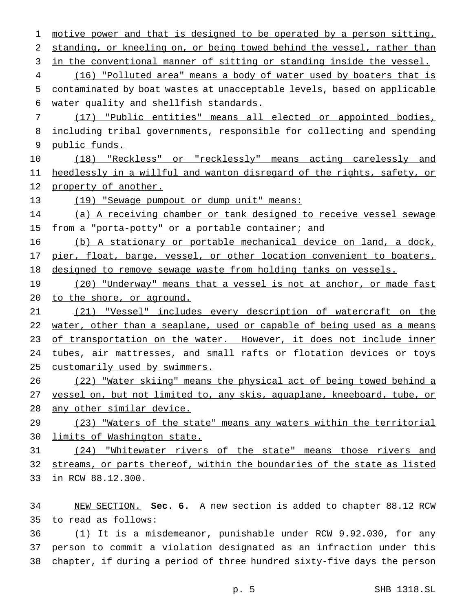motive power and that is designed to be operated by a person sitting, standing, or kneeling on, or being towed behind the vessel, rather than in the conventional manner of sitting or standing inside the vessel. (16) "Polluted area" means a body of water used by boaters that is contaminated by boat wastes at unacceptable levels, based on applicable water quality and shellfish standards. (17) "Public entities" means all elected or appointed bodies, including tribal governments, responsible for collecting and spending public funds. (18) "Reckless" or "recklessly" means acting carelessly and heedlessly in a willful and wanton disregard of the rights, safety, or property of another. 13 (19) "Sewage pumpout or dump unit" means: (a) A receiving chamber or tank designed to receive vessel sewage 15 from a "porta-potty" or a portable container; and (b) A stationary or portable mechanical device on land, a dock, 17 pier, float, barge, vessel, or other location convenient to boaters, 18 designed to remove sewage waste from holding tanks on vessels. 19 (20) "Underway" means that a vessel is not at anchor, or made fast to the shore, or aground. (21) "Vessel" includes every description of watercraft on the 22 water, other than a seaplane, used or capable of being used as a means 23 of transportation on the water. However, it does not include inner tubes, air mattresses, and small rafts or flotation devices or toys customarily used by swimmers. (22) "Water skiing" means the physical act of being towed behind a vessel on, but not limited to, any skis, aquaplane, kneeboard, tube, or any other similar device. 29 (23) "Waters of the state" means any waters within the territorial 30 limits of Washington state. (24) "Whitewater rivers of the state" means those rivers and streams, or parts thereof, within the boundaries of the state as listed in RCW 88.12.300.

 NEW SECTION. **Sec. 6.** A new section is added to chapter 88.12 RCW to read as follows:

 (1) It is a misdemeanor, punishable under RCW 9.92.030, for any person to commit a violation designated as an infraction under this chapter, if during a period of three hundred sixty-five days the person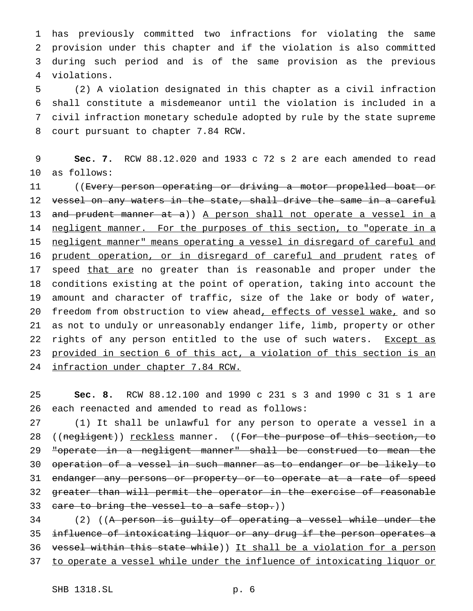has previously committed two infractions for violating the same provision under this chapter and if the violation is also committed during such period and is of the same provision as the previous violations.

 (2) A violation designated in this chapter as a civil infraction shall constitute a misdemeanor until the violation is included in a civil infraction monetary schedule adopted by rule by the state supreme court pursuant to chapter 7.84 RCW.

 **Sec. 7.** RCW 88.12.020 and 1933 c 72 s 2 are each amended to read as follows:

 ((Every person operating or driving a motor propelled boat or vessel on any waters in the state, shall drive the same in a careful 13 and prudent manner at a)) A person shall not operate a vessel in a 14 negligent manner. For the purposes of this section, to "operate in a negligent manner" means operating a vessel in disregard of careful and 16 prudent operation, or in disregard of careful and prudent rates of 17 speed that are no greater than is reasonable and proper under the conditions existing at the point of operation, taking into account the amount and character of traffic, size of the lake or body of water, 20 freedom from obstruction to view ahead, effects of vessel wake, and so as not to unduly or unreasonably endanger life, limb, property or other 22 rights of any person entitled to the use of such waters. Except as provided in section 6 of this act, a violation of this section is an infraction under chapter 7.84 RCW.

 **Sec. 8.** RCW 88.12.100 and 1990 c 231 s 3 and 1990 c 31 s 1 are each reenacted and amended to read as follows:

 (1) It shall be unlawful for any person to operate a vessel in a 28 ((negligent)) reckless manner. ((For the purpose of this section, to "operate in a negligent manner" shall be construed to mean the operation of a vessel in such manner as to endanger or be likely to 31 endanger any persons or property or to operate at a rate of speed greater than will permit the operator in the exercise of reasonable 33 care to bring the vessel to a safe stop.))

34 (2) ((<del>A person is guilty of operating a vessel while under the</del> influence of intoxicating liquor or any drug if the person operates a vessel within this state while)) It shall be a violation for a person to operate a vessel while under the influence of intoxicating liquor or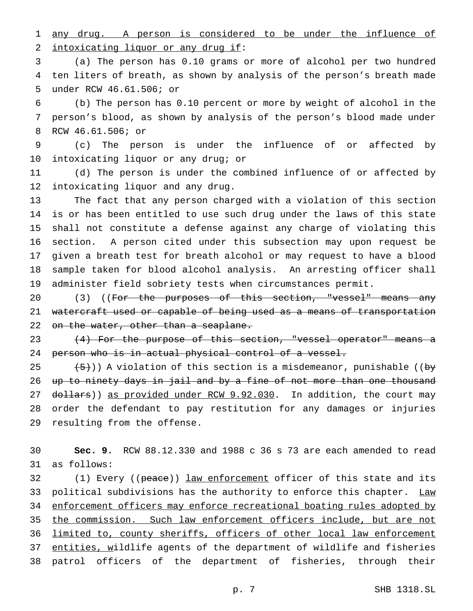any drug. A person is considered to be under the influence of 2 intoxicating liquor or any drug if:

 (a) The person has 0.10 grams or more of alcohol per two hundred ten liters of breath, as shown by analysis of the person's breath made under RCW 46.61.506; or

 (b) The person has 0.10 percent or more by weight of alcohol in the person's blood, as shown by analysis of the person's blood made under RCW 46.61.506; or

 (c) The person is under the influence of or affected by intoxicating liquor or any drug; or

 (d) The person is under the combined influence of or affected by intoxicating liquor and any drug.

 The fact that any person charged with a violation of this section is or has been entitled to use such drug under the laws of this state shall not constitute a defense against any charge of violating this section. A person cited under this subsection may upon request be given a breath test for breath alcohol or may request to have a blood sample taken for blood alcohol analysis. An arresting officer shall administer field sobriety tests when circumstances permit.

20 (3) ((For the purposes of this section, "vessel" means any 21 watercraft used or capable of being used as a means of transportation 22 on the water, other than a seaplane.

 (4) For the purpose of this section, "vessel operator" means a 24 person who is in actual physical control of a vessel.

 $(5)$ )) A violation of this section is a misdemeanor, punishable ((by up to ninety days in jail and by a fine of not more than one thousand 27 dollars)) as provided under RCW 9.92.030. In addition, the court may order the defendant to pay restitution for any damages or injuries resulting from the offense.

 **Sec. 9.** RCW 88.12.330 and 1988 c 36 s 73 are each amended to read as follows:

32 (1) Every ((peace)) <u>law enforcement</u> officer of this state and its 33 political subdivisions has the authority to enforce this chapter. Law enforcement officers may enforce recreational boating rules adopted by 35 the commission. Such law enforcement officers include, but are not 36 limited to, county sheriffs, officers of other local law enforcement 37 entities, wildlife agents of the department of wildlife and fisheries patrol officers of the department of fisheries, through their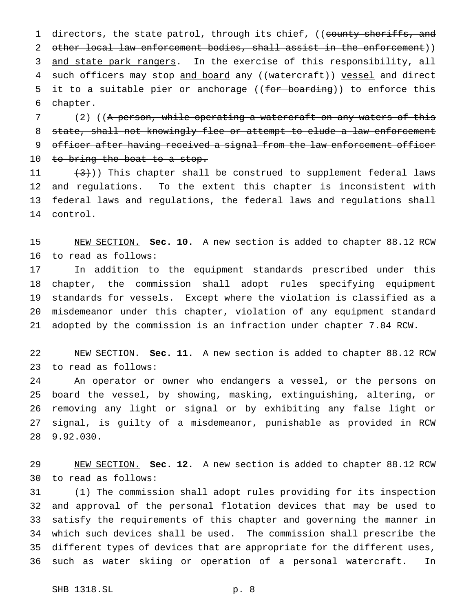1 directors, the state patrol, through its chief, ((county sheriffs, and 2 other local law enforcement bodies, shall assist in the enforcement)) 3 and state park rangers. In the exercise of this responsibility, all 4 such officers may stop and board any ((watercraft)) vessel and direct 5 it to a suitable pier or anchorage ((for boarding)) to enforce this chapter.

7 (2) ((A person, while operating a watercraft on any waters of this 8 state, shall not knowingly flee or attempt to elude a law enforcement 9 officer after having received a signal from the law enforcement officer 10 to bring the boat to a stop.

 $(3)$ ) This chapter shall be construed to supplement federal laws and regulations. To the extent this chapter is inconsistent with federal laws and regulations, the federal laws and regulations shall control.

 NEW SECTION. **Sec. 10.** A new section is added to chapter 88.12 RCW to read as follows:

 In addition to the equipment standards prescribed under this chapter, the commission shall adopt rules specifying equipment standards for vessels. Except where the violation is classified as a misdemeanor under this chapter, violation of any equipment standard adopted by the commission is an infraction under chapter 7.84 RCW.

 NEW SECTION. **Sec. 11.** A new section is added to chapter 88.12 RCW to read as follows:

 An operator or owner who endangers a vessel, or the persons on board the vessel, by showing, masking, extinguishing, altering, or removing any light or signal or by exhibiting any false light or signal, is guilty of a misdemeanor, punishable as provided in RCW 9.92.030.

 NEW SECTION. **Sec. 12.** A new section is added to chapter 88.12 RCW to read as follows:

 (1) The commission shall adopt rules providing for its inspection and approval of the personal flotation devices that may be used to satisfy the requirements of this chapter and governing the manner in which such devices shall be used. The commission shall prescribe the different types of devices that are appropriate for the different uses, such as water skiing or operation of a personal watercraft. In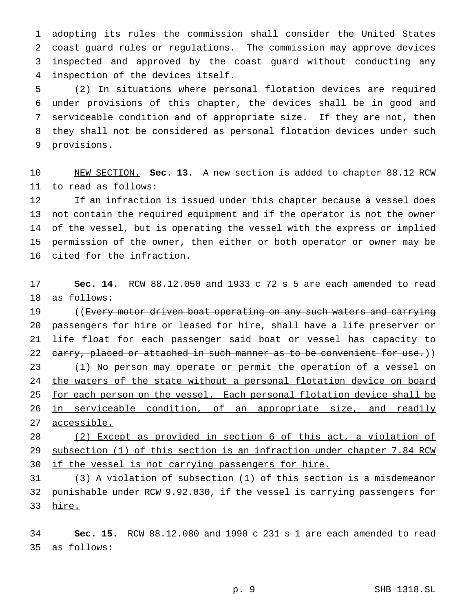adopting its rules the commission shall consider the United States coast guard rules or regulations. The commission may approve devices inspected and approved by the coast guard without conducting any inspection of the devices itself.

 (2) In situations where personal flotation devices are required under provisions of this chapter, the devices shall be in good and serviceable condition and of appropriate size. If they are not, then they shall not be considered as personal flotation devices under such provisions.

 NEW SECTION. **Sec. 13.** A new section is added to chapter 88.12 RCW to read as follows:

 If an infraction is issued under this chapter because a vessel does not contain the required equipment and if the operator is not the owner of the vessel, but is operating the vessel with the express or implied permission of the owner, then either or both operator or owner may be cited for the infraction.

 **Sec. 14.** RCW 88.12.050 and 1933 c 72 s 5 are each amended to read as follows:

19 ((Every motor driven boat operating on any such waters and carrying passengers for hire or leased for hire, shall have a life preserver or 21 <del>life float for each passenger said boat or vessel has capacity to</del> 22 carry, placed or attached in such manner as to be convenient for use.)) 23 (1) No person may operate or permit the operation of a vessel on 24 the waters of the state without a personal flotation device on board 25 for each person on the vessel. Each personal flotation device shall be 26 in serviceable condition, of an appropriate size, and readily accessible.

 (2) Except as provided in section 6 of this act, a violation of subsection (1) of this section is an infraction under chapter 7.84 RCW 30 if the vessel is not carrying passengers for hire.

 (3) A violation of subsection (1) of this section is a misdemeanor punishable under RCW 9.92.030, if the vessel is carrying passengers for hire.

 **Sec. 15.** RCW 88.12.080 and 1990 c 231 s 1 are each amended to read as follows: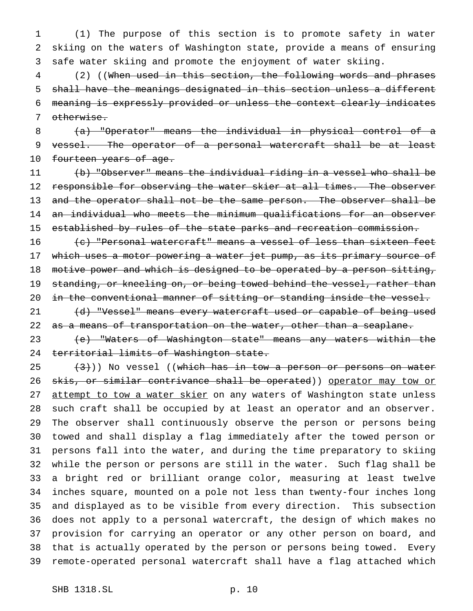(1) The purpose of this section is to promote safety in water skiing on the waters of Washington state, provide a means of ensuring safe water skiing and promote the enjoyment of water skiing.

 (2) ((When used in this section, the following words and phrases shall have the meanings designated in this section unless a different meaning is expressly provided or unless the context clearly indicates otherwise.

 (a) "Operator" means the individual in physical control of a 9 vessel. The operator of a personal watercraft shall be at least 10 fourteen years of age.

 (b) "Observer" means the individual riding in a vessel who shall be 12 responsible for observing the water skier at all times. The observer 13 and the operator shall not be the same person. The observer shall be an individual who meets the minimum qualifications for an observer established by rules of the state parks and recreation commission.

 $(e)$  "Personal watercraft" means a vessel of less than sixteen feet 17 which uses a motor powering a water jet pump, as its primary source of 18 motive power and which is designed to be operated by a person sitting, 19 standing, or kneeling on, or being towed behind the vessel, rather than 20 in the conventional manner of sitting or standing inside the vessel.

21 (d) "Vessel" means every watercraft used or capable of being used 22 as a means of transportation on the water, other than a seaplane.

 (e) "Waters of Washington state" means any waters within the 24 territorial limits of Washington state.

 $(3)$  (3)) No vessel ((which has in tow a person or persons on water 26 skis, or similar contrivance shall be operated)) operator may tow or 27 attempt to tow a water skier on any waters of Washington state unless such craft shall be occupied by at least an operator and an observer. The observer shall continuously observe the person or persons being towed and shall display a flag immediately after the towed person or persons fall into the water, and during the time preparatory to skiing while the person or persons are still in the water. Such flag shall be a bright red or brilliant orange color, measuring at least twelve inches square, mounted on a pole not less than twenty-four inches long and displayed as to be visible from every direction. This subsection does not apply to a personal watercraft, the design of which makes no provision for carrying an operator or any other person on board, and that is actually operated by the person or persons being towed. Every remote-operated personal watercraft shall have a flag attached which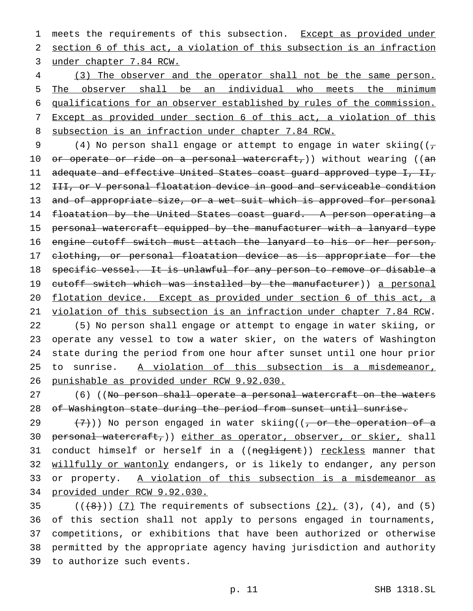1 meets the requirements of this subsection. Except as provided under section 6 of this act, a violation of this subsection is an infraction under chapter 7.84 RCW.

 (3) The observer and the operator shall not be the same person. The observer shall be an individual who meets the minimum qualifications for an observer established by rules of the commission. Except as provided under section 6 of this act, a violation of this subsection is an infraction under chapter 7.84 RCW.

9 (4) No person shall engage or attempt to engage in water skiing( $\left(\frac{1}{\sqrt{2}}\right)^{1/2}$ 10 or operate or ride on a personal watercraft,)) without wearing ((an adequate and effective United States coast guard approved type I, II, 12 III, or V personal floatation device in good and serviceable condition 13 and of appropriate size, or a wet suit which is approved for personal 14 floatation by the United States coast guard. A person operating a personal watercraft equipped by the manufacturer with a lanyard type engine cutoff switch must attach the lanyard to his or her person, 17 clothing, or personal floatation device as is appropriate for the specific vessel. It is unlawful for any person to remove or disable a 19 cutoff switch which was installed by the manufacturer)) a personal flotation device. Except as provided under section 6 of this act, a violation of this subsection is an infraction under chapter 7.84 RCW. (5) No person shall engage or attempt to engage in water skiing, or operate any vessel to tow a water skier, on the waters of Washington state during the period from one hour after sunset until one hour prior to sunrise. A violation of this subsection is a misdemeanor,

punishable as provided under RCW 9.92.030.

27 (6) ((No person shall operate a personal watercraft on the waters of Washington state during the period from sunset until sunrise.

29  $(7)$ )) No person engaged in water skiing((, or the operation of a 30 personal watercraft, () either as operator, observer, or skier, shall 31 conduct himself or herself in a ((negligent)) reckless manner that 32 willfully or wantonly endangers, or is likely to endanger, any person or property. A violation of this subsection is a misdemeanor as provided under RCW 9.92.030.

 $(35$  ( $(\overline{8})$ ) (7) The requirements of subsections (2), (3), (4), and (5) of this section shall not apply to persons engaged in tournaments, competitions, or exhibitions that have been authorized or otherwise permitted by the appropriate agency having jurisdiction and authority to authorize such events.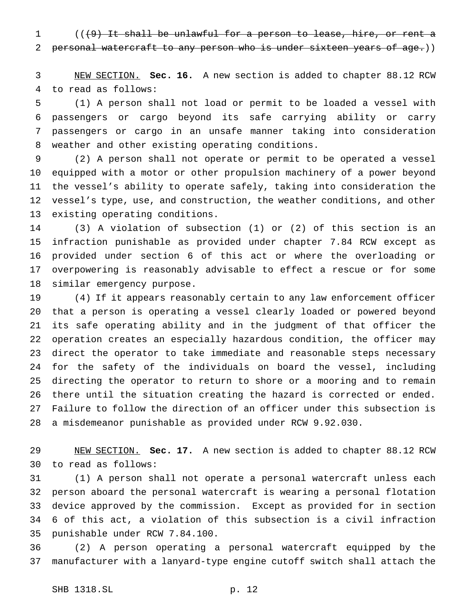$((49)$  It shall be unlawful for a person to lease, hire, or rent a personal watercraft to any person who is under sixteen years of age.))

 NEW SECTION. **Sec. 16.** A new section is added to chapter 88.12 RCW to read as follows:

 (1) A person shall not load or permit to be loaded a vessel with passengers or cargo beyond its safe carrying ability or carry passengers or cargo in an unsafe manner taking into consideration weather and other existing operating conditions.

 (2) A person shall not operate or permit to be operated a vessel equipped with a motor or other propulsion machinery of a power beyond the vessel's ability to operate safely, taking into consideration the vessel's type, use, and construction, the weather conditions, and other existing operating conditions.

 (3) A violation of subsection (1) or (2) of this section is an infraction punishable as provided under chapter 7.84 RCW except as provided under section 6 of this act or where the overloading or overpowering is reasonably advisable to effect a rescue or for some similar emergency purpose.

 (4) If it appears reasonably certain to any law enforcement officer that a person is operating a vessel clearly loaded or powered beyond its safe operating ability and in the judgment of that officer the operation creates an especially hazardous condition, the officer may direct the operator to take immediate and reasonable steps necessary for the safety of the individuals on board the vessel, including directing the operator to return to shore or a mooring and to remain there until the situation creating the hazard is corrected or ended. Failure to follow the direction of an officer under this subsection is a misdemeanor punishable as provided under RCW 9.92.030.

 NEW SECTION. **Sec. 17.** A new section is added to chapter 88.12 RCW to read as follows:

 (1) A person shall not operate a personal watercraft unless each person aboard the personal watercraft is wearing a personal flotation device approved by the commission. Except as provided for in section 6 of this act, a violation of this subsection is a civil infraction punishable under RCW 7.84.100.

 (2) A person operating a personal watercraft equipped by the manufacturer with a lanyard-type engine cutoff switch shall attach the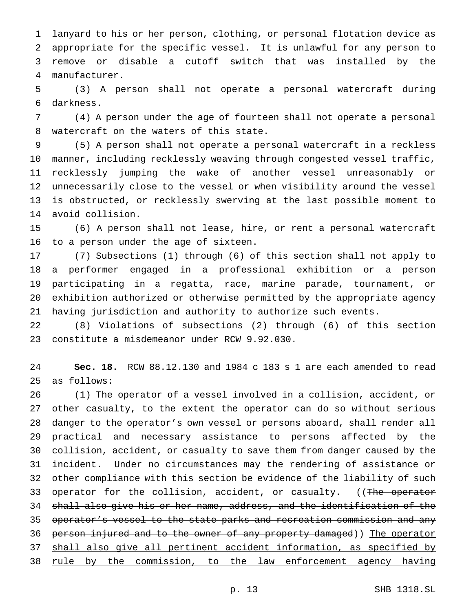lanyard to his or her person, clothing, or personal flotation device as appropriate for the specific vessel. It is unlawful for any person to remove or disable a cutoff switch that was installed by the manufacturer.

 (3) A person shall not operate a personal watercraft during darkness.

 (4) A person under the age of fourteen shall not operate a personal watercraft on the waters of this state.

 (5) A person shall not operate a personal watercraft in a reckless manner, including recklessly weaving through congested vessel traffic, recklessly jumping the wake of another vessel unreasonably or unnecessarily close to the vessel or when visibility around the vessel is obstructed, or recklessly swerving at the last possible moment to avoid collision.

 (6) A person shall not lease, hire, or rent a personal watercraft to a person under the age of sixteen.

 (7) Subsections (1) through (6) of this section shall not apply to a performer engaged in a professional exhibition or a person participating in a regatta, race, marine parade, tournament, or exhibition authorized or otherwise permitted by the appropriate agency having jurisdiction and authority to authorize such events.

 (8) Violations of subsections (2) through (6) of this section constitute a misdemeanor under RCW 9.92.030.

 **Sec. 18.** RCW 88.12.130 and 1984 c 183 s 1 are each amended to read as follows:

 (1) The operator of a vessel involved in a collision, accident, or other casualty, to the extent the operator can do so without serious danger to the operator's own vessel or persons aboard, shall render all practical and necessary assistance to persons affected by the collision, accident, or casualty to save them from danger caused by the incident. Under no circumstances may the rendering of assistance or other compliance with this section be evidence of the liability of such 33 operator for the collision, accident, or casualty. ((The operator shall also give his or her name, address, and the identification of the 35 operator's vessel to the state parks and recreation commission and any 36 person injured and to the owner of any property damaged)) The operator shall also give all pertinent accident information, as specified by 38 rule by the commission, to the law enforcement agency having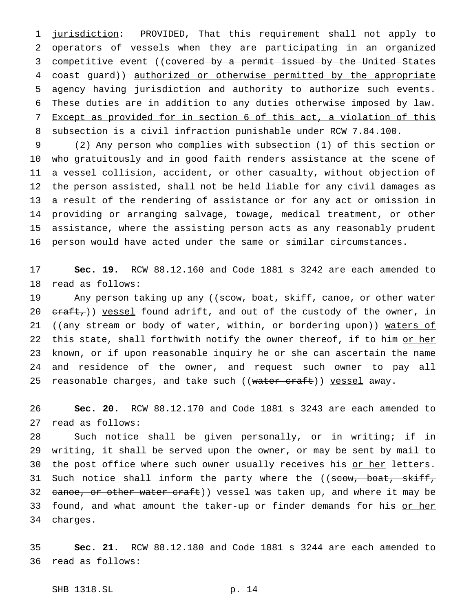jurisdiction: PROVIDED, That this requirement shall not apply to operators of vessels when they are participating in an organized 3 competitive event ((covered by a permit issued by the United States 4 coast guard)) authorized or otherwise permitted by the appropriate agency having jurisdiction and authority to authorize such events. These duties are in addition to any duties otherwise imposed by law. Except as provided for in section 6 of this act, a violation of this subsection is a civil infraction punishable under RCW 7.84.100.

 (2) Any person who complies with subsection (1) of this section or who gratuitously and in good faith renders assistance at the scene of a vessel collision, accident, or other casualty, without objection of the person assisted, shall not be held liable for any civil damages as a result of the rendering of assistance or for any act or omission in providing or arranging salvage, towage, medical treatment, or other assistance, where the assisting person acts as any reasonably prudent person would have acted under the same or similar circumstances.

 **Sec. 19.** RCW 88.12.160 and Code 1881 s 3242 are each amended to read as follows:

19 Any person taking up any ((scow, boat, skiff, canoe, or other water 20  $eraff$ ,)) vessel found adrift, and out of the custody of the owner, in 21 ((any stream or body of water, within, or bordering upon)) waters of 22 this state, shall forthwith notify the owner thereof, if to him or her 23 known, or if upon reasonable inquiry he or she can ascertain the name and residence of the owner, and request such owner to pay all 25 reasonable charges, and take such ((water craft)) vessel away.

 **Sec. 20.** RCW 88.12.170 and Code 1881 s 3243 are each amended to read as follows:

 Such notice shall be given personally, or in writing; if in writing, it shall be served upon the owner, or may be sent by mail to 30 the post office where such owner usually receives his or her letters. 31 Such notice shall inform the party where the ((scow, boat, skiff, 32 canoe, or other water craft)) vessel was taken up, and where it may be 33 found, and what amount the taker-up or finder demands for his or her charges.

 **Sec. 21.** RCW 88.12.180 and Code 1881 s 3244 are each amended to read as follows:

SHB 1318.SL p. 14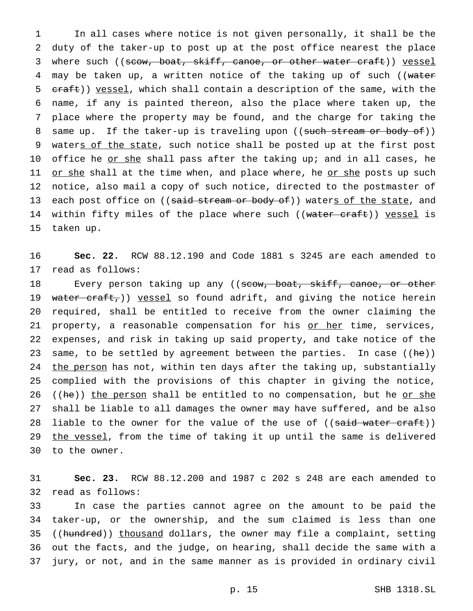1 In all cases where notice is not given personally, it shall be the 2 duty of the taker-up to post up at the post office nearest the place 3 where such ((scow, boat, skiff, canoe, or other water craft)) vessel 4 may be taken up, a written notice of the taking up of such ((water 5 craft)) yessel, which shall contain a description of the same, with the 6 name, if any is painted thereon, also the place where taken up, the 7 place where the property may be found, and the charge for taking the 8 same up. If the taker-up is traveling upon ((such stream or body of)) 9 waters of the state, such notice shall be posted up at the first post 10 office he <u>or she</u> shall pass after the taking up; and in all cases, he 11 or she shall at the time when, and place where, he or she posts up such 12 notice, also mail a copy of such notice, directed to the postmaster of 13 each post office on ((said stream or body of)) waters of the state, and 14 within fifty miles of the place where such ((water craft)) yessel is 15 taken up.

16 **Sec. 22.** RCW 88.12.190 and Code 1881 s 3245 are each amended to 17 read as follows:

18 Every person taking up any ((scow, boat, skiff, canoe, or other 19 water craft,)) vessel so found adrift, and giving the notice herein 20 required, shall be entitled to receive from the owner claiming the 21 property, a reasonable compensation for his or her time, services, 22 expenses, and risk in taking up said property, and take notice of the 23 same, to be settled by agreement between the parties. In case ((he)) 24 the person has not, within ten days after the taking up, substantially 25 complied with the provisions of this chapter in giving the notice, 26 ((he)) the person shall be entitled to no compensation, but he or she 27 shall be liable to all damages the owner may have suffered, and be also 28 liable to the owner for the value of the use of ((said water craft)) 29 the vessel, from the time of taking it up until the same is delivered 30 to the owner.

31 **Sec. 23.** RCW 88.12.200 and 1987 c 202 s 248 are each amended to 32 read as follows:

 In case the parties cannot agree on the amount to be paid the taker-up, or the ownership, and the sum claimed is less than one 35 ((hundred)) thousand dollars, the owner may file a complaint, setting out the facts, and the judge, on hearing, shall decide the same with a jury, or not, and in the same manner as is provided in ordinary civil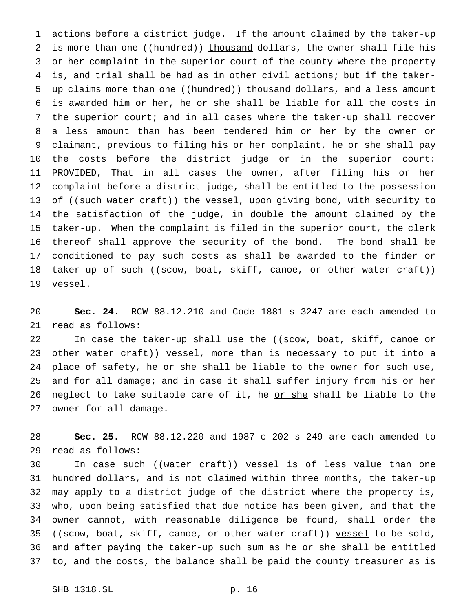actions before a district judge. If the amount claimed by the taker-up 2 is more than one ((hundred)) thousand dollars, the owner shall file his or her complaint in the superior court of the county where the property is, and trial shall be had as in other civil actions; but if the taker-5 up claims more than one ((hundred)) thousand dollars, and a less amount is awarded him or her, he or she shall be liable for all the costs in the superior court; and in all cases where the taker-up shall recover a less amount than has been tendered him or her by the owner or claimant, previous to filing his or her complaint, he or she shall pay the costs before the district judge or in the superior court: PROVIDED, That in all cases the owner, after filing his or her complaint before a district judge, shall be entitled to the possession 13 of ((such water craft)) the vessel, upon giving bond, with security to the satisfaction of the judge, in double the amount claimed by the taker-up. When the complaint is filed in the superior court, the clerk thereof shall approve the security of the bond. The bond shall be conditioned to pay such costs as shall be awarded to the finder or 18 taker-up of such ((scow, boat, skiff, canoe, or other water craft)) 19 vessel.

 **Sec. 24.** RCW 88.12.210 and Code 1881 s 3247 are each amended to read as follows:

22 In case the taker-up shall use the ((scow, boat, skiff, canoe or 23 other water craft)) vessel, more than is necessary to put it into a 24 place of safety, he or she shall be liable to the owner for such use, 25 and for all damage; and in case it shall suffer injury from his or her 26 neglect to take suitable care of it, he or she shall be liable to the owner for all damage.

 **Sec. 25.** RCW 88.12.220 and 1987 c 202 s 249 are each amended to read as follows:

30 In case such ((water craft)) vessel is of less value than one hundred dollars, and is not claimed within three months, the taker-up may apply to a district judge of the district where the property is, who, upon being satisfied that due notice has been given, and that the owner cannot, with reasonable diligence be found, shall order the 35 ((scow, boat, skiff, canoe, or other water craft)) yessel to be sold, and after paying the taker-up such sum as he or she shall be entitled to, and the costs, the balance shall be paid the county treasurer as is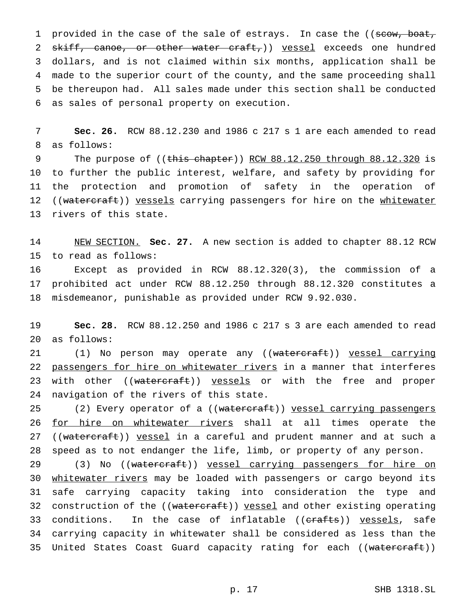1 provided in the case of the sale of estrays. In case the ((scow, boat, 2 skiff, canoe, or other water craft,) vessel exceeds one hundred dollars, and is not claimed within six months, application shall be made to the superior court of the county, and the same proceeding shall be thereupon had. All sales made under this section shall be conducted as sales of personal property on execution.

7 **Sec. 26.** RCW 88.12.230 and 1986 c 217 s 1 are each amended to read 8 as follows:

9 The purpose of ((this chapter)) RCW 88.12.250 through 88.12.320 is 10 to further the public interest, welfare, and safety by providing for 11 the protection and promotion of safety in the operation of 12 ((watercraft)) vessels carrying passengers for hire on the whitewater 13 rivers of this state.

14 NEW SECTION. **Sec. 27.** A new section is added to chapter 88.12 RCW 15 to read as follows:

16 Except as provided in RCW 88.12.320(3), the commission of a 17 prohibited act under RCW 88.12.250 through 88.12.320 constitutes a 18 misdemeanor, punishable as provided under RCW 9.92.030.

19 **Sec. 28.** RCW 88.12.250 and 1986 c 217 s 3 are each amended to read 20 as follows:

21 (1) No person may operate any ((watercraft)) vessel carrying 22 passengers for hire on whitewater rivers in a manner that interferes 23 with other ((watercraft)) vessels or with the free and proper 24 navigation of the rivers of this state.

25 (2) Every operator of a ((watercraft)) vessel carrying passengers 26 for hire on whitewater rivers shall at all times operate the 27 ((watercraft)) vessel in a careful and prudent manner and at such a 28 speed as to not endanger the life, limb, or property of any person.

29 (3) No ((watercraft)) vessel carrying passengers for hire on 30 whitewater rivers may be loaded with passengers or cargo beyond its 31 safe carrying capacity taking into consideration the type and 32 construction of the ((watercraft)) vessel and other existing operating 33 conditions. In the case of inflatable ((erafts)) vessels, safe 34 carrying capacity in whitewater shall be considered as less than the 35 United States Coast Guard capacity rating for each ((watercraft))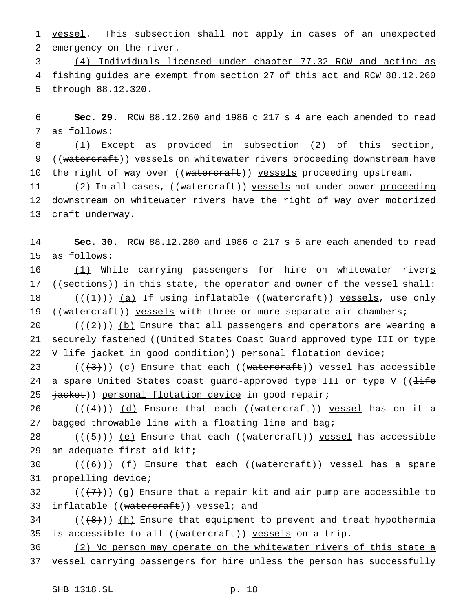1 vessel. This subsection shall not apply in cases of an unexpected 2 emergency on the river.

3 (4) Individuals licensed under chapter 77.32 RCW and acting as 4 fishing guides are exempt from section 27 of this act and RCW 88.12.260 5 through 88.12.320.

6 **Sec. 29.** RCW 88.12.260 and 1986 c 217 s 4 are each amended to read 7 as follows:

8 (1) Except as provided in subsection (2) of this section, 9 ((watercraft)) vessels on whitewater rivers proceeding downstream have 10 the right of way over ((watercraft)) vessels proceeding upstream.

11 (2) In all cases, ((watercraft)) yessels not under power proceeding 12 downstream on whitewater rivers have the right of way over motorized 13 craft underway.

14 **Sec. 30.** RCW 88.12.280 and 1986 c 217 s 6 are each amended to read 15 as follows:

16 (1) While carrying passengers for hire on whitewater rivers 17 ((sections)) in this state, the operator and owner of the vessel shall: 18  $((+1))$  (a) If using inflatable ((watercraft)) vessels, use only 19 ((watercraft)) vessels with three or more separate air chambers;

20  $((+2))$  (b) Ensure that all passengers and operators are wearing a 21 securely fastened ((United States Coast Guard approved type III or type 22 V life jacket in good condition)) personal flotation device;

23  $((+3))$   $(c)$  Ensure that each  $((\text{watercraft}))$  vessel has accessible 24 a spare United States coast guard-approved type III or type V ((life 25  $\frac{1}{10}$   $\frac{1}{100}$   $\frac{1}{100}$   $\frac{1}{100}$   $\frac{1}{100}$   $\frac{1}{100}$   $\frac{1}{100}$   $\frac{1}{100}$   $\frac{1}{100}$   $\frac{1}{100}$   $\frac{1}{100}$   $\frac{1}{100}$   $\frac{1}{100}$   $\frac{1}{100}$   $\frac{1}{100}$   $\frac{1}{100}$   $\frac{1}{100}$   $\frac{1}{100}$   $\frac{$ 

26 ( $(\frac{4}{4})$ ) (d) Ensure that each ((watercraft)) yessel has on it a 27 bagged throwable line with a floating line and bag;

28  $((+5))$  (e) Ensure that each ((watercraft)) vessel has accessible 29 an adequate first-aid kit;

30  $((+6))$  <u>(f</u>) Ensure that each ((watercraft)) yessel has a spare 31 propelling device;

32  $((+7))$  (g) Ensure that a repair kit and air pump are accessible to 33 inflatable ((watercraft)) yessel; and

 $34$  (( $\{8\})$ ) (h) Ensure that equipment to prevent and treat hypothermia 35 is accessible to all ((watercraft)) vessels on a trip.

36 (2) No person may operate on the whitewater rivers of this state a 37 vessel carrying passengers for hire unless the person has successfully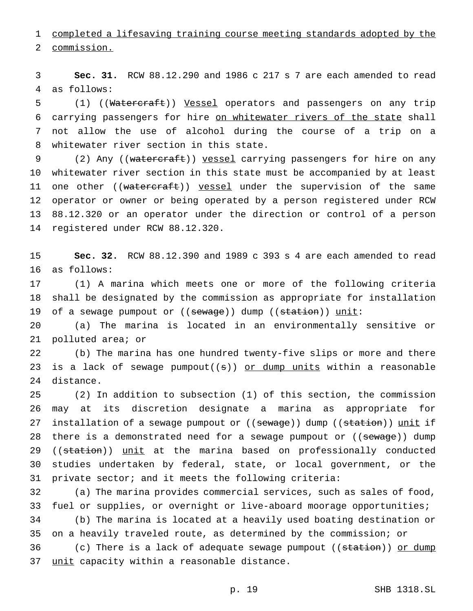completed a lifesaving training course meeting standards adopted by the

commission.

 **Sec. 31.** RCW 88.12.290 and 1986 c 217 s 7 are each amended to read as follows:

 (1) ((Watercraft)) Vessel operators and passengers on any trip carrying passengers for hire on whitewater rivers of the state shall not allow the use of alcohol during the course of a trip on a whitewater river section in this state.

9 (2) Any ((watercraft)) vessel carrying passengers for hire on any whitewater river section in this state must be accompanied by at least 11 one other ((watercraft)) vessel under the supervision of the same operator or owner or being operated by a person registered under RCW 88.12.320 or an operator under the direction or control of a person registered under RCW 88.12.320.

 **Sec. 32.** RCW 88.12.390 and 1989 c 393 s 4 are each amended to read as follows:

 (1) A marina which meets one or more of the following criteria shall be designated by the commission as appropriate for installation 19 of a sewage pumpout or ((sewage)) dump ((station)) unit:

 (a) The marina is located in an environmentally sensitive or polluted area; or

 (b) The marina has one hundred twenty-five slips or more and there 23 is a lack of sewage  $pumpout((s))$  or dump units within a reasonable distance.

 (2) In addition to subsection (1) of this section, the commission may at its discretion designate a marina as appropriate for 27 installation of a sewage pumpout or ((sewage)) dump ((station)) unit if 28 there is a demonstrated need for a sewage pumpout or ((sewage)) dump 29 ((station)) unit at the marina based on professionally conducted studies undertaken by federal, state, or local government, or the private sector; and it meets the following criteria:

 (a) The marina provides commercial services, such as sales of food, fuel or supplies, or overnight or live-aboard moorage opportunities; (b) The marina is located at a heavily used boating destination or on a heavily traveled route, as determined by the commission; or 36 (c) There is a lack of adequate sewage pumpout ((station)) or dump 37 unit capacity within a reasonable distance.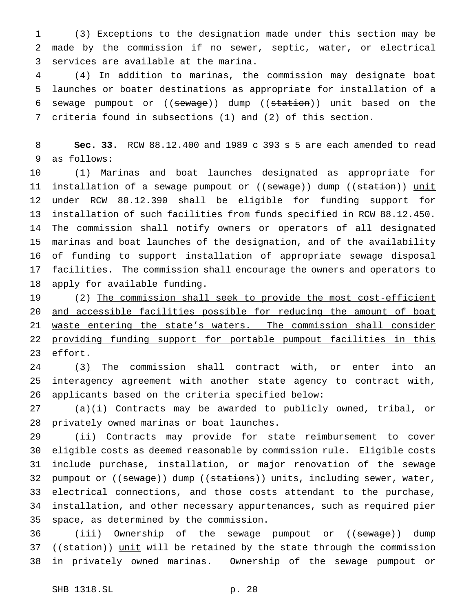(3) Exceptions to the designation made under this section may be made by the commission if no sewer, septic, water, or electrical services are available at the marina.

 (4) In addition to marinas, the commission may designate boat launches or boater destinations as appropriate for installation of a 6 sewage pumpout or ((sewage)) dump ((station)) unit based on the criteria found in subsections (1) and (2) of this section.

 **Sec. 33.** RCW 88.12.400 and 1989 c 393 s 5 are each amended to read as follows:

 (1) Marinas and boat launches designated as appropriate for 11 installation of a sewage pumpout or ((sewage)) dump ((station)) unit under RCW 88.12.390 shall be eligible for funding support for installation of such facilities from funds specified in RCW 88.12.450. The commission shall notify owners or operators of all designated marinas and boat launches of the designation, and of the availability of funding to support installation of appropriate sewage disposal facilities. The commission shall encourage the owners and operators to apply for available funding.

 (2) The commission shall seek to provide the most cost-efficient and accessible facilities possible for reducing the amount of boat 21 waste entering the state's waters. The commission shall consider 22 providing funding support for portable pumpout facilities in this effort.

 (3) The commission shall contract with, or enter into an interagency agreement with another state agency to contract with, applicants based on the criteria specified below:

 (a)(i) Contracts may be awarded to publicly owned, tribal, or privately owned marinas or boat launches.

 (ii) Contracts may provide for state reimbursement to cover eligible costs as deemed reasonable by commission rule. Eligible costs include purchase, installation, or major renovation of the sewage 32 pumpout or ((sewage)) dump ((stations)) units, including sewer, water, electrical connections, and those costs attendant to the purchase, installation, and other necessary appurtenances, such as required pier space, as determined by the commission.

36 (iii) Ownership of the sewage pumpout or ((sewage)) dump 37 ((station)) unit will be retained by the state through the commission in privately owned marinas. Ownership of the sewage pumpout or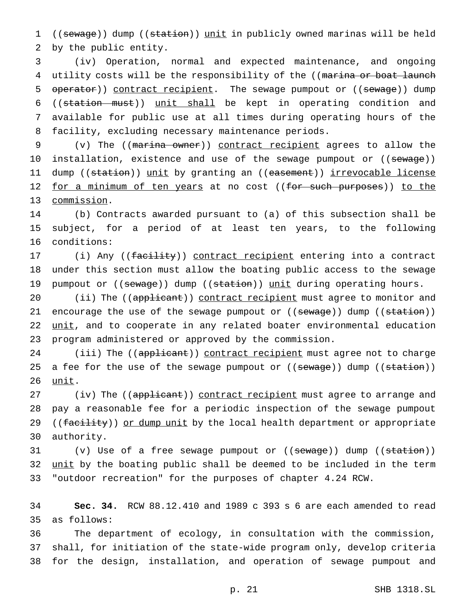1 ((sewage)) dump ((station)) unit in publicly owned marinas will be held 2 by the public entity.

 (iv) Operation, normal and expected maintenance, and ongoing 4 utility costs will be the responsibility of the ((marina or boat launch 5 operator)) contract recipient. The sewage pumpout or ((sewage)) dump ((station must)) unit shall be kept in operating condition and available for public use at all times during operating hours of the facility, excluding necessary maintenance periods.

9 (v) The ((marina owner)) contract recipient agrees to allow the 10 installation, existence and use of the sewage pumpout or ((<del>sewage</del>)) 11 dump ((station)) unit by granting an ((easement)) irrevocable license 12 for a minimum of ten years at no cost ((for such purposes)) to the 13 commission.

14 (b) Contracts awarded pursuant to (a) of this subsection shall be 15 subject, for a period of at least ten years, to the following 16 conditions:

17 (i) Any ((facility)) contract recipient entering into a contract 18 under this section must allow the boating public access to the sewage 19 pumpout or ((sewage)) dump ((station)) unit during operating hours.

20 (ii) The ((applicant)) contract recipient must agree to monitor and 21 encourage the use of the sewage pumpout or ((sewage)) dump ((station)) 22 unit, and to cooperate in any related boater environmental education 23 program administered or approved by the commission.

24 (iii) The ((applicant)) contract recipient must agree not to charge 25 a fee for the use of the sewage pumpout or ((sewage)) dump ((station)) 26 <u>unit</u>.

27 (iv) The ((applicant)) contract recipient must agree to arrange and 28 pay a reasonable fee for a periodic inspection of the sewage pumpout 29 ((facility)) or dump unit by the local health department or appropriate 30 authority.

31 (v) Use of a free sewage pumpout or ((sewage)) dump ((station)) 32 unit by the boating public shall be deemed to be included in the term 33 "outdoor recreation" for the purposes of chapter 4.24 RCW.

34 **Sec. 34.** RCW 88.12.410 and 1989 c 393 s 6 are each amended to read 35 as follows:

36 The department of ecology, in consultation with the commission, 37 shall, for initiation of the state-wide program only, develop criteria 38 for the design, installation, and operation of sewage pumpout and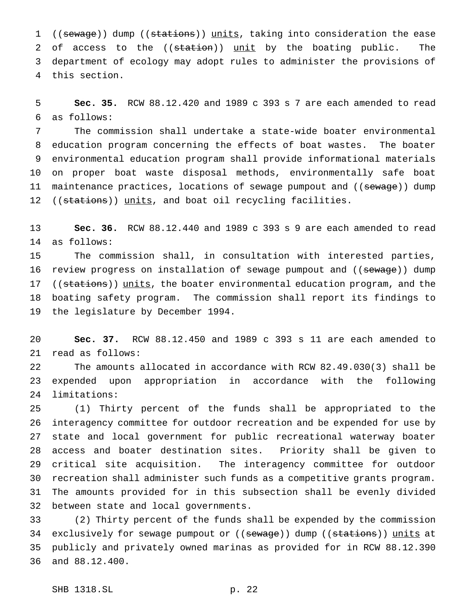1 ((sewage)) dump ((stations)) units, taking into consideration the ease 2 of access to the ((station)) unit by the boating public. The department of ecology may adopt rules to administer the provisions of this section.

 **Sec. 35.** RCW 88.12.420 and 1989 c 393 s 7 are each amended to read as follows:

 The commission shall undertake a state-wide boater environmental education program concerning the effects of boat wastes. The boater environmental education program shall provide informational materials on proper boat waste disposal methods, environmentally safe boat 11 maintenance practices, locations of sewage pumpout and ((sewage)) dump 12 ((stations)) units, and boat oil recycling facilities.

 **Sec. 36.** RCW 88.12.440 and 1989 c 393 s 9 are each amended to read as follows:

 The commission shall, in consultation with interested parties, 16 review progress on installation of sewage pumpout and ((sewage)) dump 17 ((stations)) units, the boater environmental education program, and the boating safety program. The commission shall report its findings to the legislature by December 1994.

 **Sec. 37.** RCW 88.12.450 and 1989 c 393 s 11 are each amended to read as follows:

 The amounts allocated in accordance with RCW 82.49.030(3) shall be expended upon appropriation in accordance with the following limitations:

 (1) Thirty percent of the funds shall be appropriated to the interagency committee for outdoor recreation and be expended for use by state and local government for public recreational waterway boater access and boater destination sites. Priority shall be given to critical site acquisition. The interagency committee for outdoor recreation shall administer such funds as a competitive grants program. The amounts provided for in this subsection shall be evenly divided between state and local governments.

 (2) Thirty percent of the funds shall be expended by the commission 34 exclusively for sewage pumpout or ((sewage)) dump ((stations)) units at publicly and privately owned marinas as provided for in RCW 88.12.390 and 88.12.400.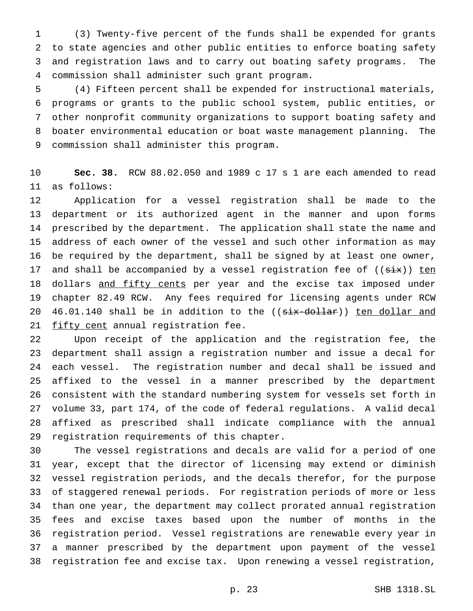(3) Twenty-five percent of the funds shall be expended for grants to state agencies and other public entities to enforce boating safety and registration laws and to carry out boating safety programs. The commission shall administer such grant program.

 (4) Fifteen percent shall be expended for instructional materials, programs or grants to the public school system, public entities, or other nonprofit community organizations to support boating safety and boater environmental education or boat waste management planning. The commission shall administer this program.

 **Sec. 38.** RCW 88.02.050 and 1989 c 17 s 1 are each amended to read as follows:

 Application for a vessel registration shall be made to the department or its authorized agent in the manner and upon forms prescribed by the department. The application shall state the name and address of each owner of the vessel and such other information as may be required by the department, shall be signed by at least one owner, 17 and shall be accompanied by a vessel registration fee of  $((\overline{\text{six}}))$  ten 18 dollars and fifty cents per year and the excise tax imposed under chapter 82.49 RCW. Any fees required for licensing agents under RCW 20 46.01.140 shall be in addition to the ((six-dollar)) ten dollar and 21 fifty cent annual registration fee.

 Upon receipt of the application and the registration fee, the department shall assign a registration number and issue a decal for each vessel. The registration number and decal shall be issued and affixed to the vessel in a manner prescribed by the department consistent with the standard numbering system for vessels set forth in volume 33, part 174, of the code of federal regulations. A valid decal affixed as prescribed shall indicate compliance with the annual registration requirements of this chapter.

 The vessel registrations and decals are valid for a period of one year, except that the director of licensing may extend or diminish vessel registration periods, and the decals therefor, for the purpose of staggered renewal periods. For registration periods of more or less than one year, the department may collect prorated annual registration fees and excise taxes based upon the number of months in the registration period. Vessel registrations are renewable every year in a manner prescribed by the department upon payment of the vessel registration fee and excise tax. Upon renewing a vessel registration,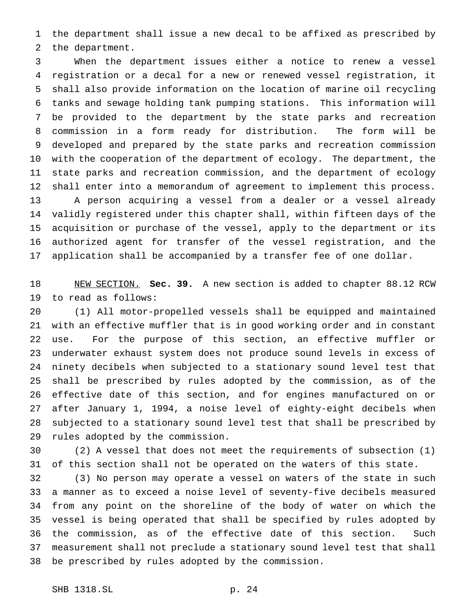the department shall issue a new decal to be affixed as prescribed by the department.

 When the department issues either a notice to renew a vessel registration or a decal for a new or renewed vessel registration, it shall also provide information on the location of marine oil recycling tanks and sewage holding tank pumping stations. This information will be provided to the department by the state parks and recreation commission in a form ready for distribution. The form will be developed and prepared by the state parks and recreation commission with the cooperation of the department of ecology. The department, the state parks and recreation commission, and the department of ecology shall enter into a memorandum of agreement to implement this process. A person acquiring a vessel from a dealer or a vessel already validly registered under this chapter shall, within fifteen days of the acquisition or purchase of the vessel, apply to the department or its authorized agent for transfer of the vessel registration, and the application shall be accompanied by a transfer fee of one dollar.

 NEW SECTION. **Sec. 39.** A new section is added to chapter 88.12 RCW to read as follows:

 (1) All motor-propelled vessels shall be equipped and maintained with an effective muffler that is in good working order and in constant use. For the purpose of this section, an effective muffler or underwater exhaust system does not produce sound levels in excess of ninety decibels when subjected to a stationary sound level test that shall be prescribed by rules adopted by the commission, as of the effective date of this section, and for engines manufactured on or after January 1, 1994, a noise level of eighty-eight decibels when subjected to a stationary sound level test that shall be prescribed by rules adopted by the commission.

 (2) A vessel that does not meet the requirements of subsection (1) of this section shall not be operated on the waters of this state.

 (3) No person may operate a vessel on waters of the state in such a manner as to exceed a noise level of seventy-five decibels measured from any point on the shoreline of the body of water on which the vessel is being operated that shall be specified by rules adopted by the commission, as of the effective date of this section. Such measurement shall not preclude a stationary sound level test that shall be prescribed by rules adopted by the commission.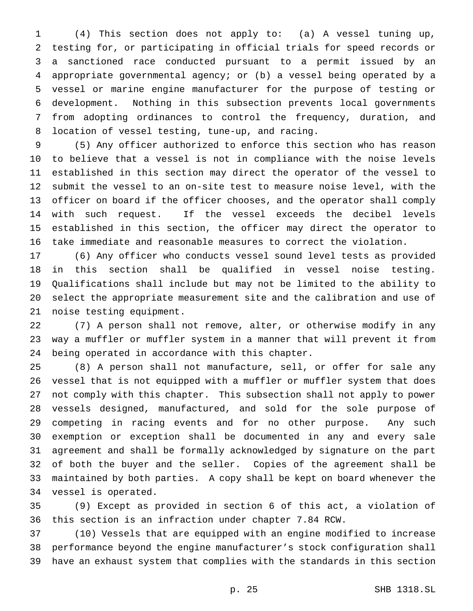(4) This section does not apply to: (a) A vessel tuning up, testing for, or participating in official trials for speed records or a sanctioned race conducted pursuant to a permit issued by an appropriate governmental agency; or (b) a vessel being operated by a vessel or marine engine manufacturer for the purpose of testing or development. Nothing in this subsection prevents local governments from adopting ordinances to control the frequency, duration, and location of vessel testing, tune-up, and racing.

 (5) Any officer authorized to enforce this section who has reason to believe that a vessel is not in compliance with the noise levels established in this section may direct the operator of the vessel to submit the vessel to an on-site test to measure noise level, with the officer on board if the officer chooses, and the operator shall comply with such request. If the vessel exceeds the decibel levels established in this section, the officer may direct the operator to take immediate and reasonable measures to correct the violation.

 (6) Any officer who conducts vessel sound level tests as provided in this section shall be qualified in vessel noise testing. Qualifications shall include but may not be limited to the ability to select the appropriate measurement site and the calibration and use of noise testing equipment.

 (7) A person shall not remove, alter, or otherwise modify in any way a muffler or muffler system in a manner that will prevent it from being operated in accordance with this chapter.

 (8) A person shall not manufacture, sell, or offer for sale any vessel that is not equipped with a muffler or muffler system that does not comply with this chapter. This subsection shall not apply to power vessels designed, manufactured, and sold for the sole purpose of competing in racing events and for no other purpose. Any such exemption or exception shall be documented in any and every sale agreement and shall be formally acknowledged by signature on the part of both the buyer and the seller. Copies of the agreement shall be maintained by both parties. A copy shall be kept on board whenever the vessel is operated.

 (9) Except as provided in section 6 of this act, a violation of this section is an infraction under chapter 7.84 RCW.

 (10) Vessels that are equipped with an engine modified to increase performance beyond the engine manufacturer's stock configuration shall have an exhaust system that complies with the standards in this section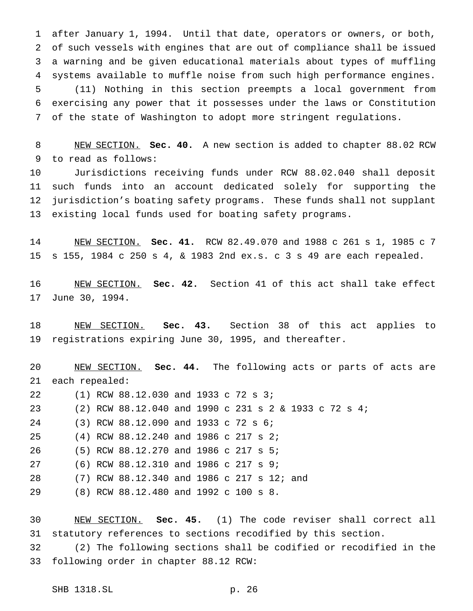after January 1, 1994. Until that date, operators or owners, or both, of such vessels with engines that are out of compliance shall be issued a warning and be given educational materials about types of muffling systems available to muffle noise from such high performance engines. (11) Nothing in this section preempts a local government from exercising any power that it possesses under the laws or Constitution of the state of Washington to adopt more stringent regulations.

 NEW SECTION. **Sec. 40.** A new section is added to chapter 88.02 RCW to read as follows:

 Jurisdictions receiving funds under RCW 88.02.040 shall deposit such funds into an account dedicated solely for supporting the jurisdiction's boating safety programs. These funds shall not supplant existing local funds used for boating safety programs.

 NEW SECTION. **Sec. 41.** RCW 82.49.070 and 1988 c 261 s 1, 1985 c 7 s 155, 1984 c 250 s 4, & 1983 2nd ex.s. c 3 s 49 are each repealed.

 NEW SECTION. **Sec. 42.** Section 41 of this act shall take effect June 30, 1994.

 NEW SECTION. **Sec. 43.** Section 38 of this act applies to registrations expiring June 30, 1995, and thereafter.

 NEW SECTION. **Sec. 44.** The following acts or parts of acts are each repealed: (1) RCW 88.12.030 and 1933 c 72 s 3; (2) RCW 88.12.040 and 1990 c 231s2& 1933 c 72 s 4; (3) RCW 88.12.090 and 1933 c 72 s 6; (4) RCW 88.12.240 and 1986 c 217 s 2; (5) RCW 88.12.270 and 1986 c 217 s 5; (6) RCW 88.12.310 and 1986 c 217 s 9; (7) RCW 88.12.340 and 1986 c 217 s 12; and (8) RCW 88.12.480 and 1992 c 100 s 8.

 NEW SECTION. **Sec. 45.** (1) The code reviser shall correct all statutory references to sections recodified by this section.

 (2) The following sections shall be codified or recodified in the following order in chapter 88.12 RCW: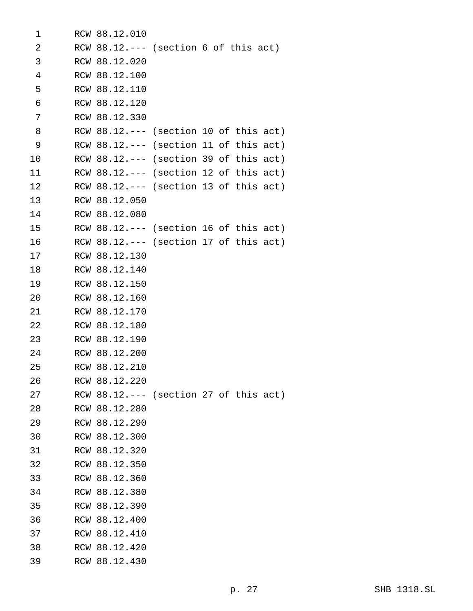| 1               | RCW 88.12.010 |                                          |
|-----------------|---------------|------------------------------------------|
| 2               |               | RCW $88.12---$ (section 6 of this act)   |
| 3               | RCW 88.12.020 |                                          |
| $\overline{4}$  | RCW 88.12.100 |                                          |
| 5               | RCW 88.12.110 |                                          |
| 6               | RCW 88.12.120 |                                          |
| 7               | RCW 88.12.330 |                                          |
| 8               |               | RCW $88.12---$ (section 10 of this act)  |
| 9               |               | RCW $88.12.---$ (section 11 of this act) |
| 10              |               | RCW $88.12.---$ (section 39 of this act) |
| 11              |               | RCW $88.12.---$ (section 12 of this act) |
| 12 <sub>1</sub> |               | RCW $88.12.---$ (section 13 of this act) |
| 13              | RCW 88.12.050 |                                          |
| 14              | RCW 88.12.080 |                                          |
| 15              |               | RCW $88.12.---$ (section 16 of this act) |
| 16              |               | RCW $88.12.---$ (section 17 of this act) |
| 17              | RCW 88.12.130 |                                          |
| 18              | RCW 88.12.140 |                                          |
| 19              | RCW 88.12.150 |                                          |
| 20              | RCW 88.12.160 |                                          |
| 21              | RCW 88.12.170 |                                          |
| 22              | RCW 88.12.180 |                                          |
| 23              | RCW 88.12.190 |                                          |
| 24              | RCW 88.12.200 |                                          |
| 25              | RCW 88.12.210 |                                          |
| 26              | RCW 88.12.220 |                                          |
| 27              |               | RCW $88.12.---$ (section 27 of this act) |
| 28              | RCW 88.12.280 |                                          |
| 29              | RCW 88.12.290 |                                          |
| 30              | RCW 88.12.300 |                                          |
| 31              | RCW 88.12.320 |                                          |
| 32              | RCW 88.12.350 |                                          |
| 33              | RCW 88.12.360 |                                          |
| 34              | RCW 88.12.380 |                                          |
| 35              | RCW 88.12.390 |                                          |
| 36              | RCW 88.12.400 |                                          |
| 37              | RCW 88.12.410 |                                          |
| 38              | RCW 88.12.420 |                                          |
| 39              | RCW 88.12.430 |                                          |
|                 |               |                                          |